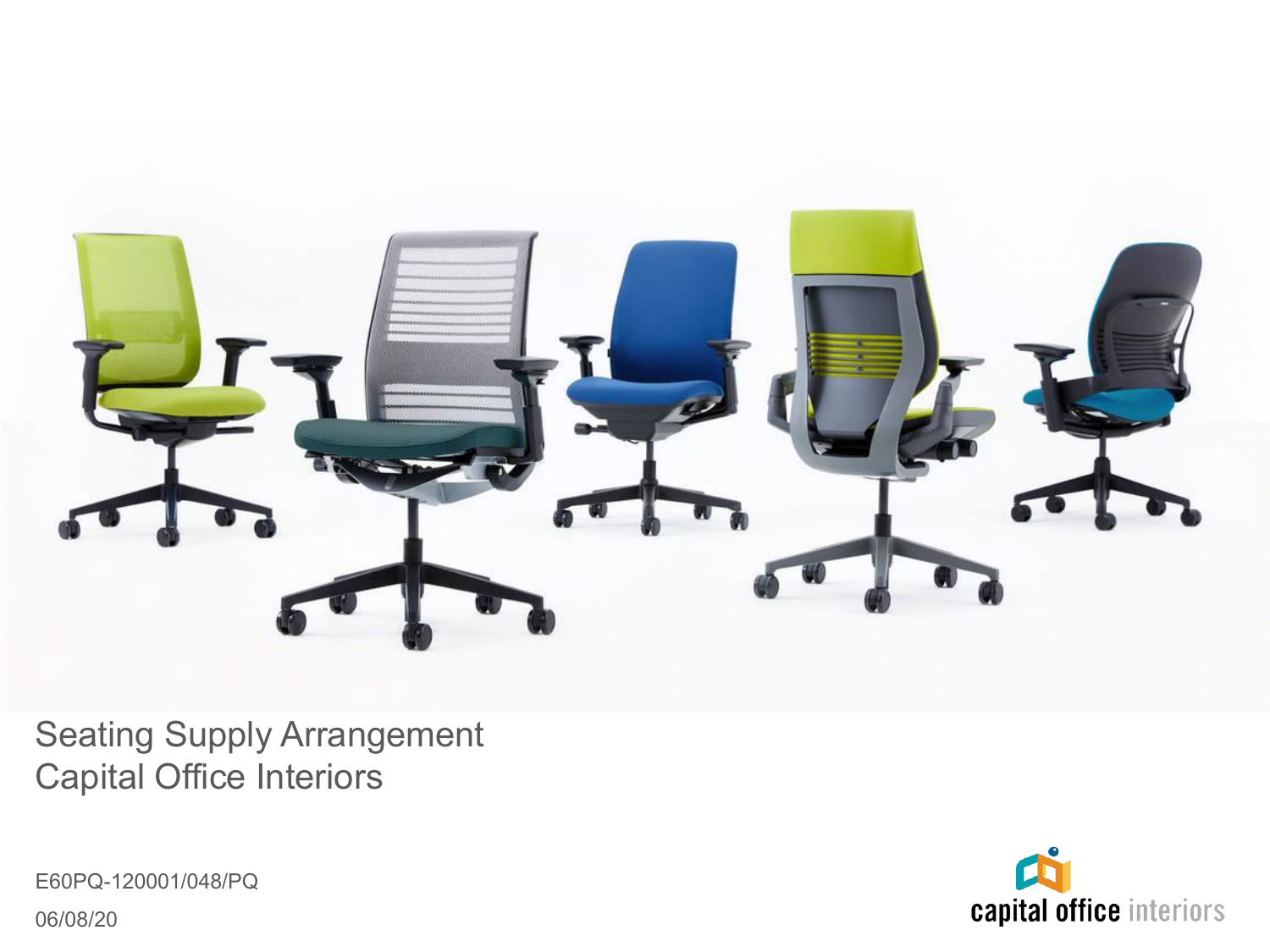

Seating Supply Arrangement Capital Office Interiors

E60PQ-120001/048/PQ 06/08/20

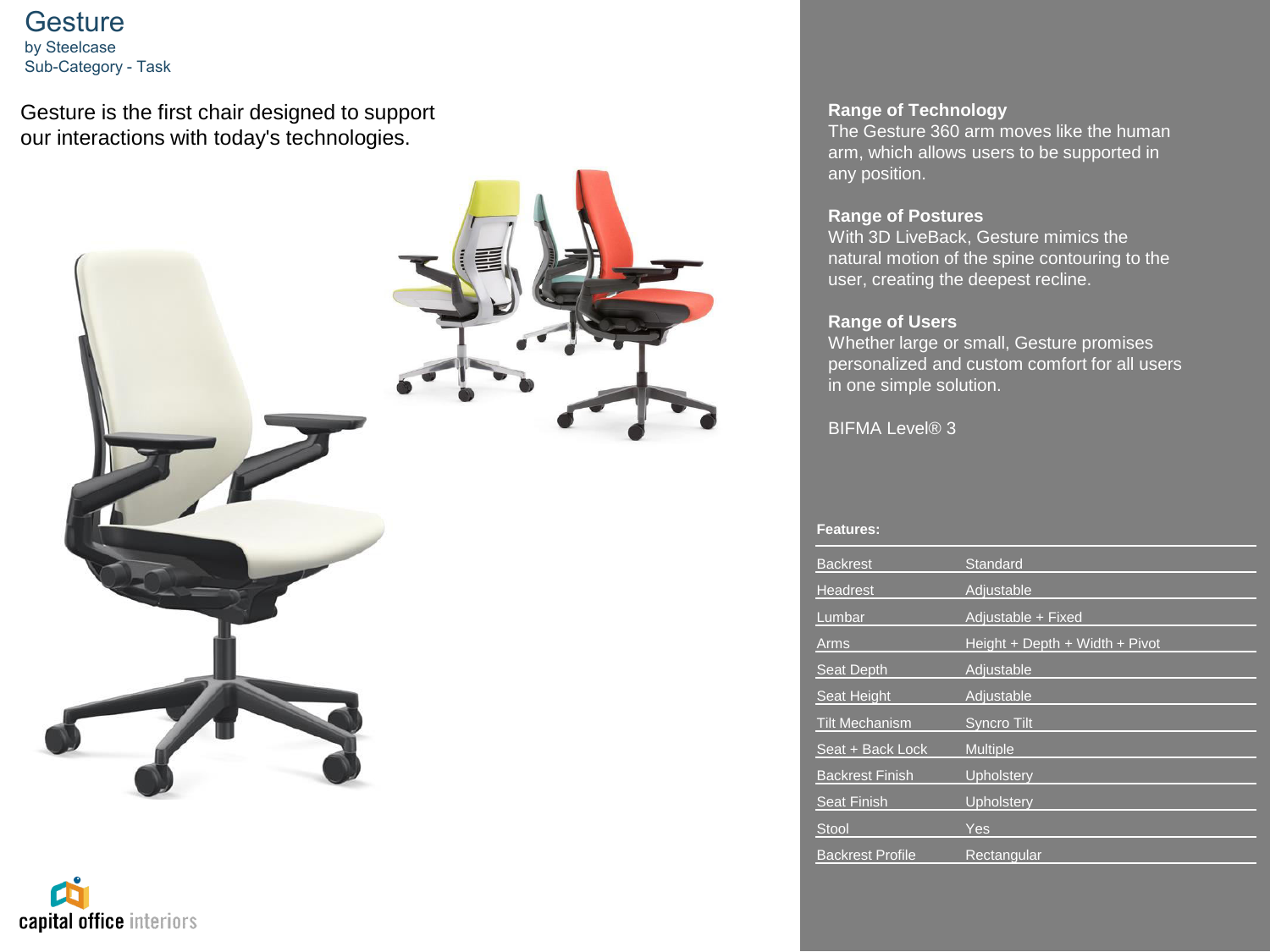**Gesture** by Steelcase Sub-Category - Task

Gesture is the first chair designed to support our interactions with today's technologies.



# capital office interiors

## **Range of Technology**

The Gesture 360 arm moves like the human arm, which allows users to be supported in any position.

### **Range of Postures**

With 3D LiveBack, Gesture mimics the natural motion of the spine contouring to the user, creating the deepest recline.

# **Range of Users**

Whether large or small, Gesture promises personalized and custom comfort for all users in one simple solution.

**BIFMA Level® 3** 

| <b>Backrest</b>         | Standard                       |
|-------------------------|--------------------------------|
| Headrest                | Adjustable                     |
| Lumbar                  | Adjustable + Fixed             |
| Arms                    | Height + Depth + Width + Pivot |
| <b>Seat Depth</b>       | Adjustable                     |
| Seat Height             | Adjustable                     |
| <b>Tilt Mechanism</b>   | <b>Syncro Tilt</b>             |
| Seat + Back Lock        | <b>Multiple</b>                |
| <b>Backrest Finish</b>  | Upholstery                     |
| Seat Finish             | Upholstery                     |
| <b>Stool</b>            | Yes                            |
|                         |                                |
| <b>Backrest Profile</b> | Rectangular                    |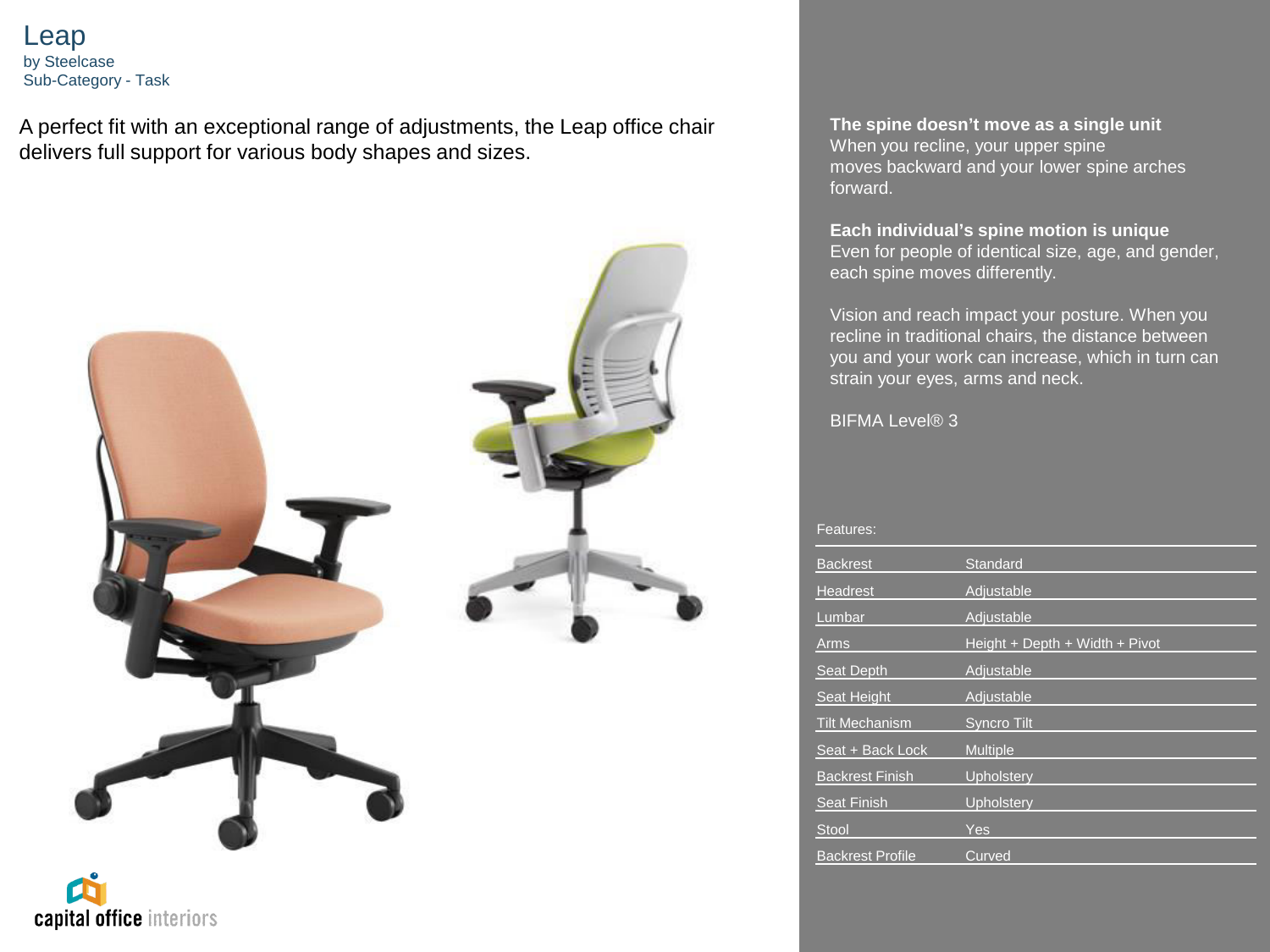Leap by Steelcase Sub-Category - Task

A perfect fit with an exceptional range of adjustments, the Leap office chair delivers full support for various body shapes and sizes.





**The spine doesn't move as a single unit** When you recline, your upper spine moves backward and your lower spine arches forward.

**Each individual's spine motion is unique** Even for people of identical size, age, and gender, each spine moves differently.

Vision and reach impact your posture. When you recline in traditional chairs, the distance between you and your work can increase, which in turn can strain your eyes, arms and neck.

**BIFMA Level® 3** 

| eature. |  |  |
|---------|--|--|
|         |  |  |

| <b>Backrest</b>         | Standard                       |
|-------------------------|--------------------------------|
| <b>Headrest</b>         | Adjustable                     |
| Lumbar                  | Adjustable                     |
| Arms                    | Height + Depth + Width + Pivot |
| <b>Seat Depth</b>       | Adjustable                     |
| <b>Seat Height</b>      | Adjustable                     |
| <b>Tilt Mechanism</b>   | <b>Syncro Tilt</b>             |
| Seat + Back Lock        | <b>Multiple</b>                |
| <b>Backrest Finish</b>  | Upholstery                     |
| <b>Seat Finish</b>      | Upholstery                     |
| <b>Stool</b>            | Yes                            |
| <b>Backrest Profile</b> | Curved                         |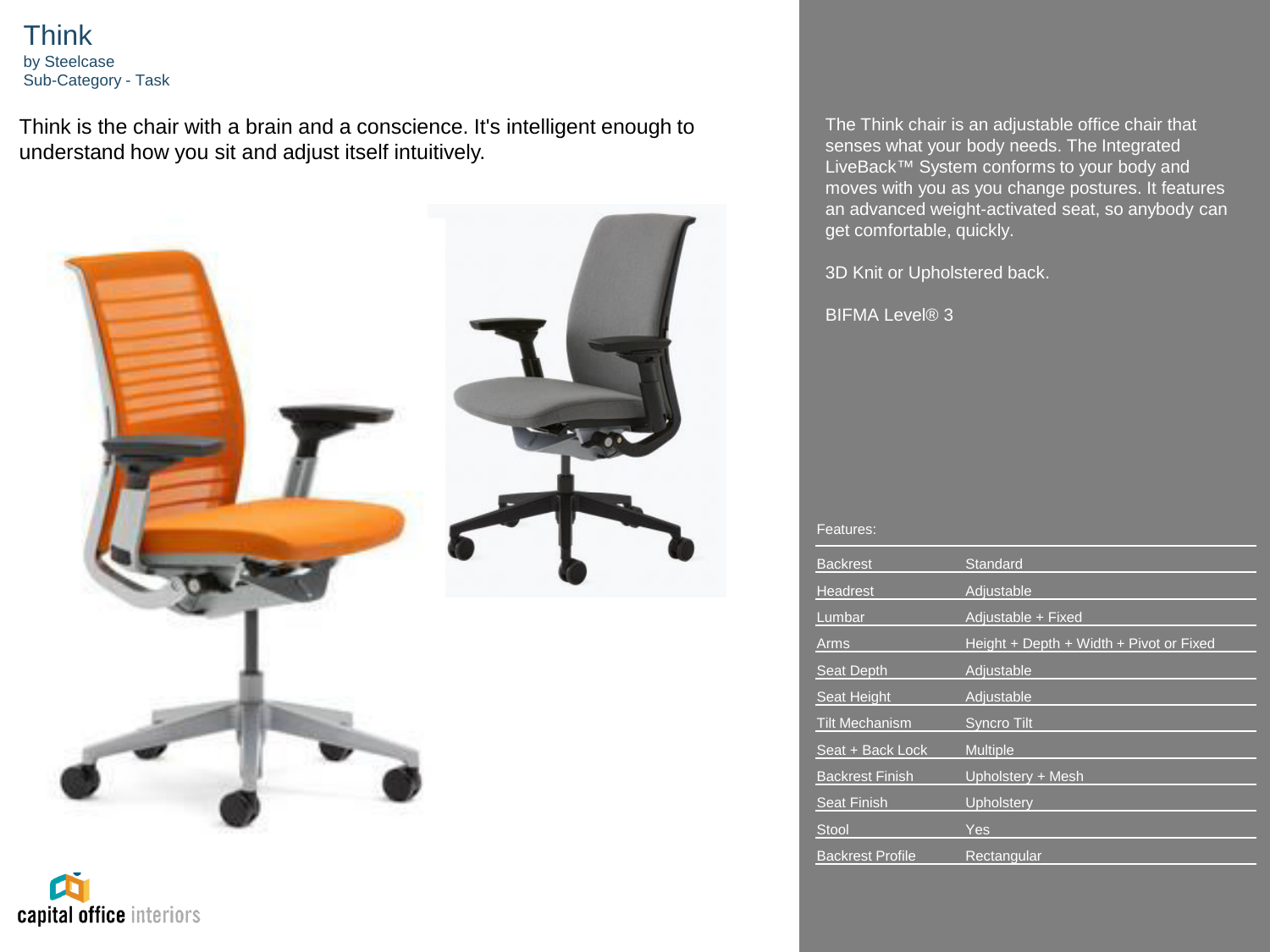Think by Steelcase Sub-Category - Task

capital office interiors

Think is the chair with a brain and a conscience. It's intelligent enough to understand how you sit and adjust itself intuitively.



The Think chair is an adjustable office chair that senses what your body needs. The Integrated LiveBack™ System conforms to your body and moves with you as you change postures. It features an advanced weight-activated seat, so anybody can get comfortable, quickly.

3D Knit or Upholstered back.

BIFMA Level<sup>®</sup> 3

| <b>Backrest</b>         | Standard                                |
|-------------------------|-----------------------------------------|
| Headrest                | Adjustable                              |
| Lumbar                  | Adjustable + Fixed                      |
| Arms                    | Height + Depth + Width + Pivot or Fixed |
| Seat Depth              | Adiustable                              |
| Seat Height             | Adjustable                              |
| <b>Tilt Mechanism</b>   | <b>Syncro Tilt</b>                      |
| Seat + Back Lock        | <b>Multiple</b>                         |
| <b>Backrest Finish</b>  | Upholstery + Mesh                       |
| <b>Seat Finish</b>      | Upholstery                              |
| <b>Stool</b>            | Yes                                     |
| <b>Backrest Profile</b> | Rectangular                             |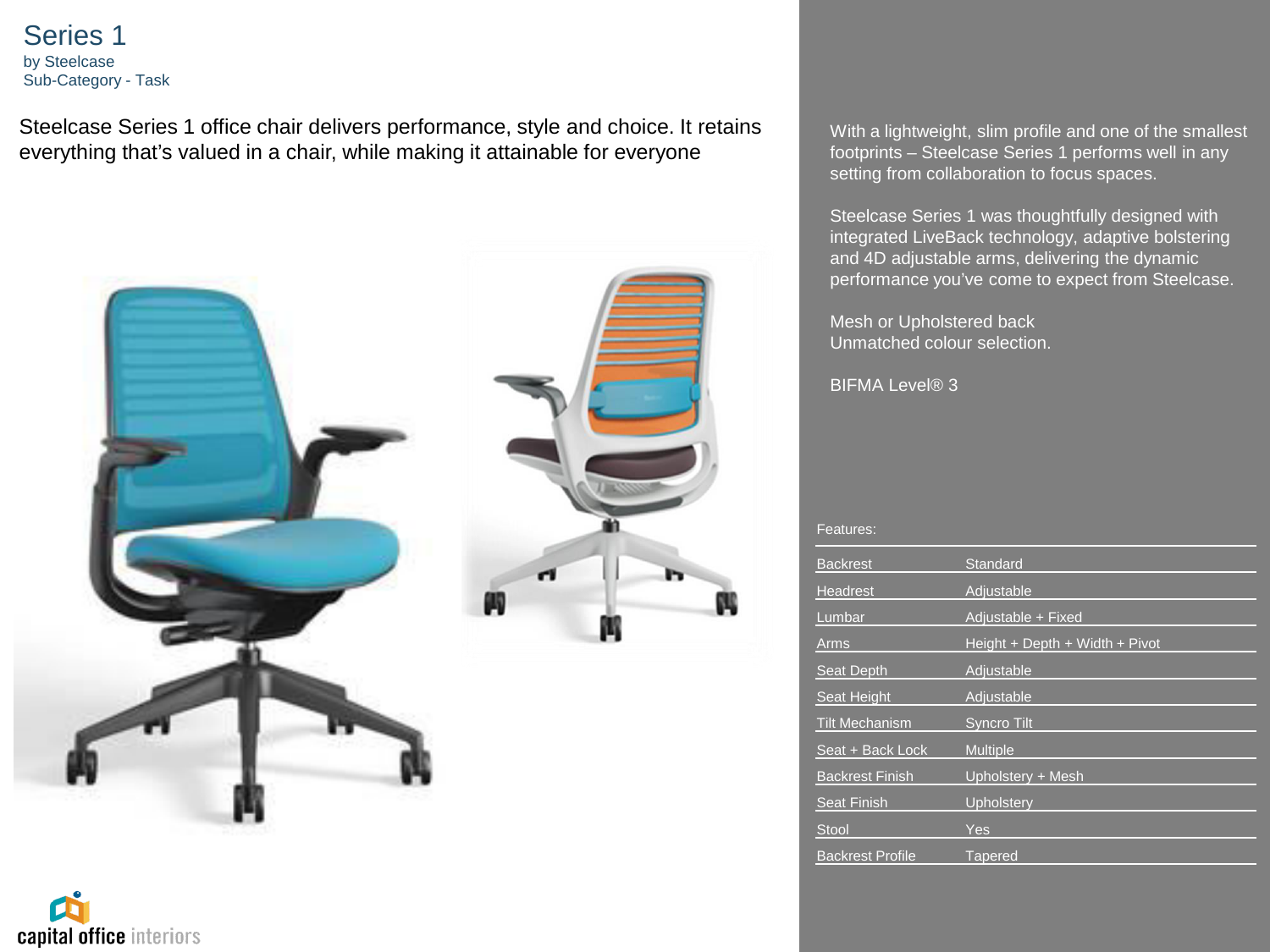Series 1 by Steelcase Sub-Category - Task

Steelcase Series 1 office chair delivers performance, style and choice. It retains everything that's valued in a chair, while making it attainable for everyone





With a lightweight, slim profile and one of the smallest footprints – Steelcase Series 1 performs well in any setting from collaboration to focus spaces.

Steelcase Series 1 was thoughtfully designed with integrated LiveBack technology, adaptive bolstering and 4D adjustable arms, delivering the dynamic performance you've come to expect from Steelcase.

Mesh or Upholstered back Unmatched colour selection.

BIFMA Level® 3

| <b>Backrest</b>         | Standard                       |
|-------------------------|--------------------------------|
| <b>Headrest</b>         | Adjustable                     |
| Lumbar                  | Adjustable + Fixed             |
| Arms                    | Height + Depth + Width + Pivot |
| Seat Depth              | Adiustable                     |
| Seat Height             | Adjustable                     |
| <b>Tilt Mechanism</b>   | <b>Syncro Tilt</b>             |
| Seat + Back Lock        | <b>Multiple</b>                |
| <b>Backrest Finish</b>  | Upholstery + Mesh              |
| <b>Seat Finish</b>      | <b>Upholstery</b>              |
| <b>Stool</b>            | Yes                            |
| <b>Backrest Profile</b> | <b>Tapered</b>                 |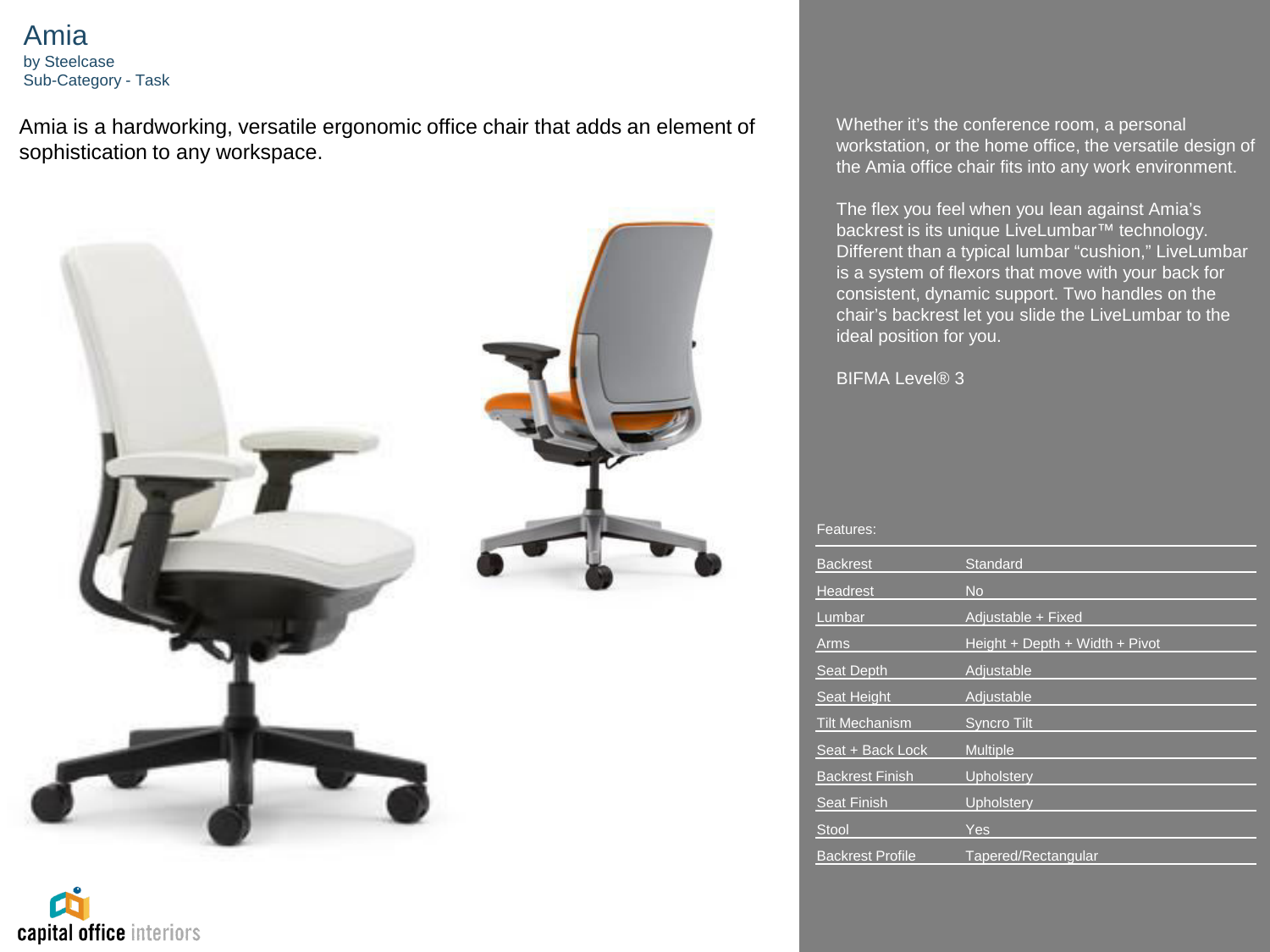Amia by Steelcase Sub-Category - Task

Amia is a hardworking, versatile ergonomic office chair that adds an element of sophistication to any workspace.



capital office interiors

Whether it's the conference room, a personal workstation, or the home office, the versatile design of the Amia office chair fits into any work environment.

The flex you feel when you lean against Amia's backrest is its unique LiveLumbar™ technology. Different than a typical lumbar "cushion," LiveLumbar is a system of flexors that move with your back for consistent, dynamic support. Two handles on the chair's backrest let you slide the LiveLumbar to the ideal position for you.

BIFMA Level<sup>®</sup> 3

| <b>Backrest</b>         | Standard                       |
|-------------------------|--------------------------------|
| <b>Headrest</b>         | No                             |
| Lumbar                  | Adjustable + Fixed             |
| Arms                    | Height + Depth + Width + Pivot |
| Seat Depth              | Adjustable                     |
| Seat Height             | Adjustable                     |
| <b>Tilt Mechanism</b>   | <b>Syncro Tilt</b>             |
| Seat + Back Lock        | <b>Multiple</b>                |
| <b>Backrest Finish</b>  | Upholstery                     |
| <b>Seat Finish</b>      | Upholstery                     |
| <b>Stool</b>            | Yes                            |
| <b>Backrest Profile</b> | Tapered/Rectangular            |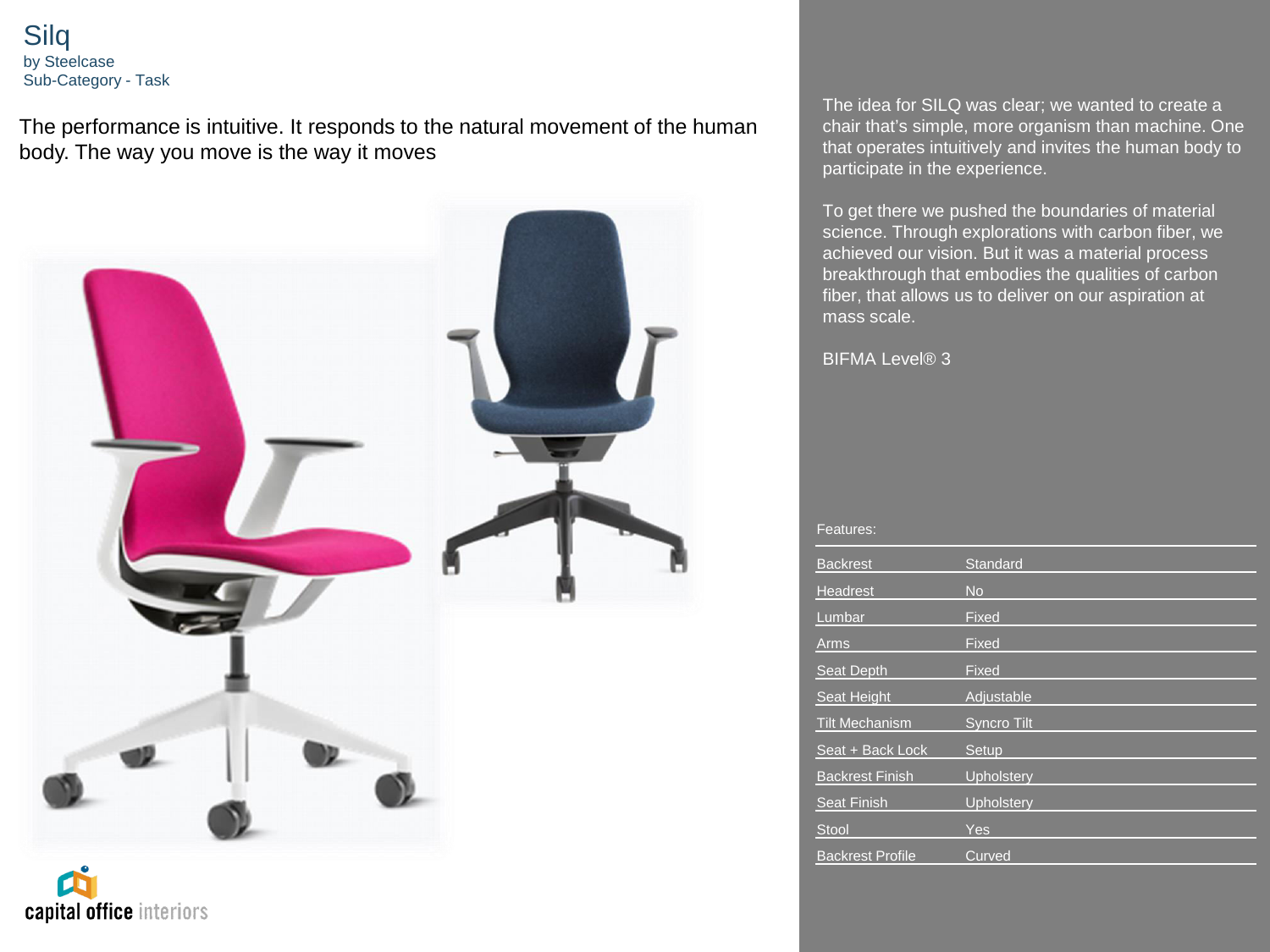Silq by Steelcase Sub-Category - Task

The performance is intuitive. It responds to the natural movement of the human body. The way you move is the way it moves



capital office interiors

The idea for SILQ was clear; we wanted to create a chair that's simple, more organism than machine. One that operates intuitively and invites the human body to participate in the experience.

To get there we pushed the boundaries of material science. Through explorations with carbon fiber, we achieved our vision. But it was a material process breakthrough that embodies the qualities of carbon fiber, that allows us to deliver on our aspiration at mass scale.

BIFMA Level® 3

| <b>Backrest</b>         | Standard           |
|-------------------------|--------------------|
| Headrest                | <b>No</b>          |
| Lumbar                  | Fixed              |
| <b>Arms</b>             | Fixed              |
| Seat Depth              | Fixed              |
| Seat Height             | Adjustable         |
| <b>Tilt Mechanism</b>   | <b>Syncro Tilt</b> |
| Seat + Back Lock        | Setup              |
| <b>Backrest Finish</b>  | Upholstery         |
| <b>Seat Finish</b>      | Upholstery         |
| Stool                   | Yes                |
| <b>Backrest Profile</b> | Curved             |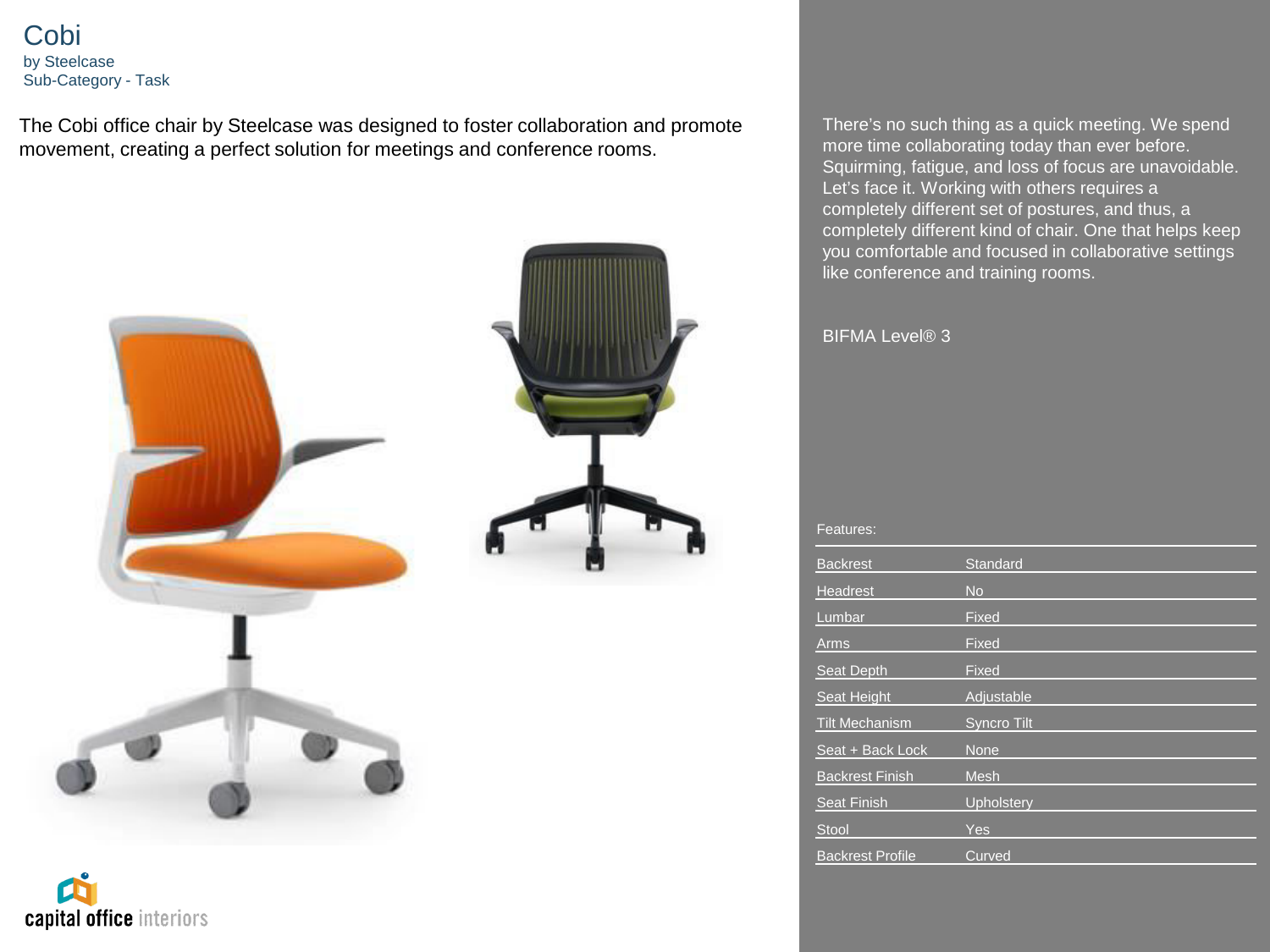Cobi by Steelcase Sub-Category - Task

The Cobi office chair by Steelcase was designed to foster collaboration and promote movement, creating a perfect solution for meetings and conference rooms.



capital office interiors

There's no such thing as a quick meeting. We spend more time collaborating today than ever before. Squirming, fatigue, and loss of focus are unavoidable. Let's face it. Working with others requires a completely different set of postures, and thus, a completely different kind of chair. One that helps keep you comfortable and focused in collaborative settings like conference and training rooms.

# BIFMA Level® 3

| <b>Backrest</b>         | Standard           |
|-------------------------|--------------------|
| Headrest                | <b>No</b>          |
| Lumbar                  | Fixed              |
| <b>Arms</b>             | Fixed              |
| Seat Depth              | Fixed              |
| Seat Height             | Adjustable         |
| <b>Tilt Mechanism</b>   | <b>Syncro Tilt</b> |
| Seat + Back Lock        | <b>None</b>        |
| <b>Backrest Finish</b>  | <b>Mesh</b>        |
| <b>Seat Finish</b>      | Upholstery         |
| <b>Stool</b>            | <b>Yes</b>         |
| <b>Backrest Profile</b> | Curved             |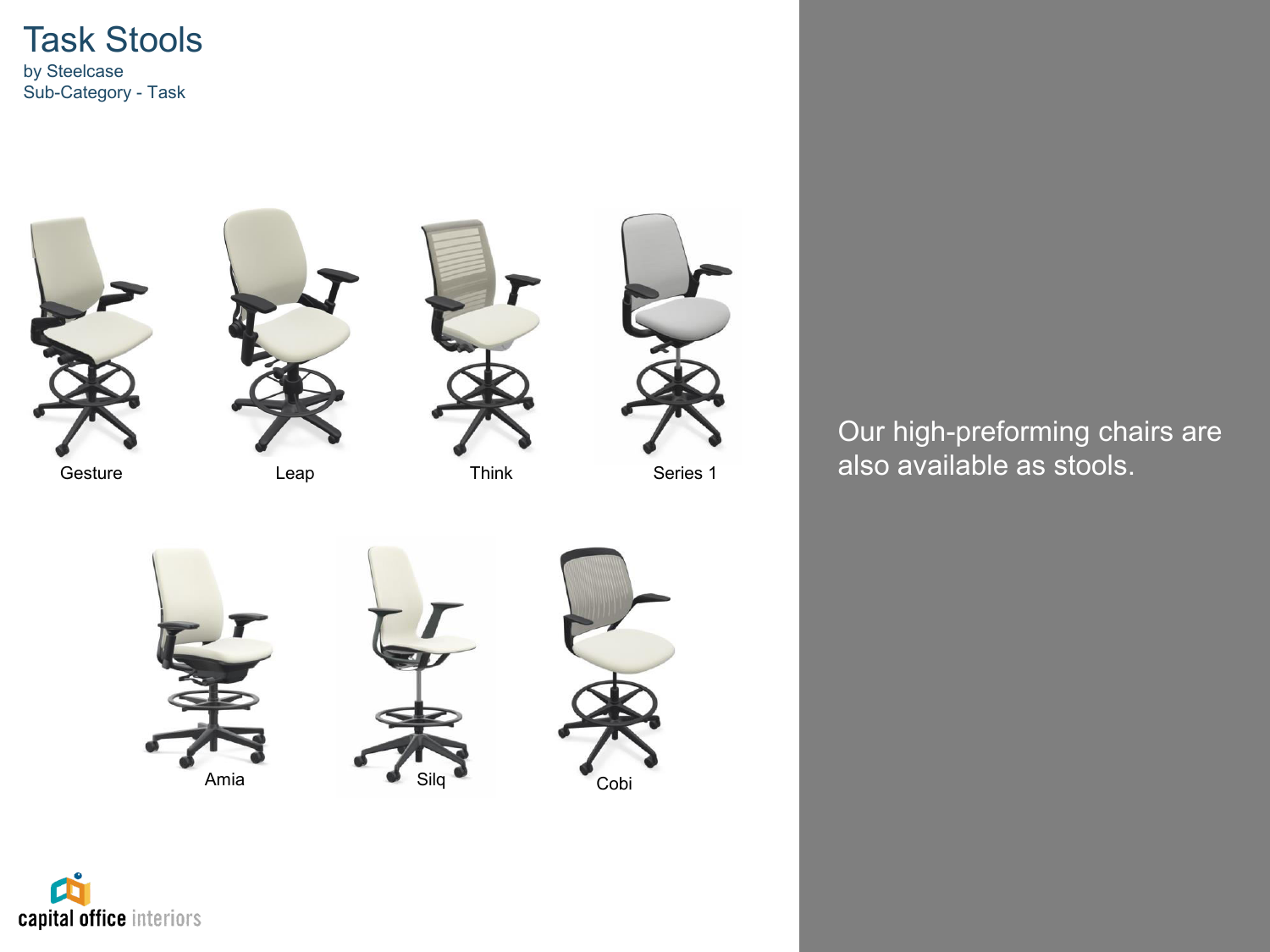



Our high-preforming chairs are

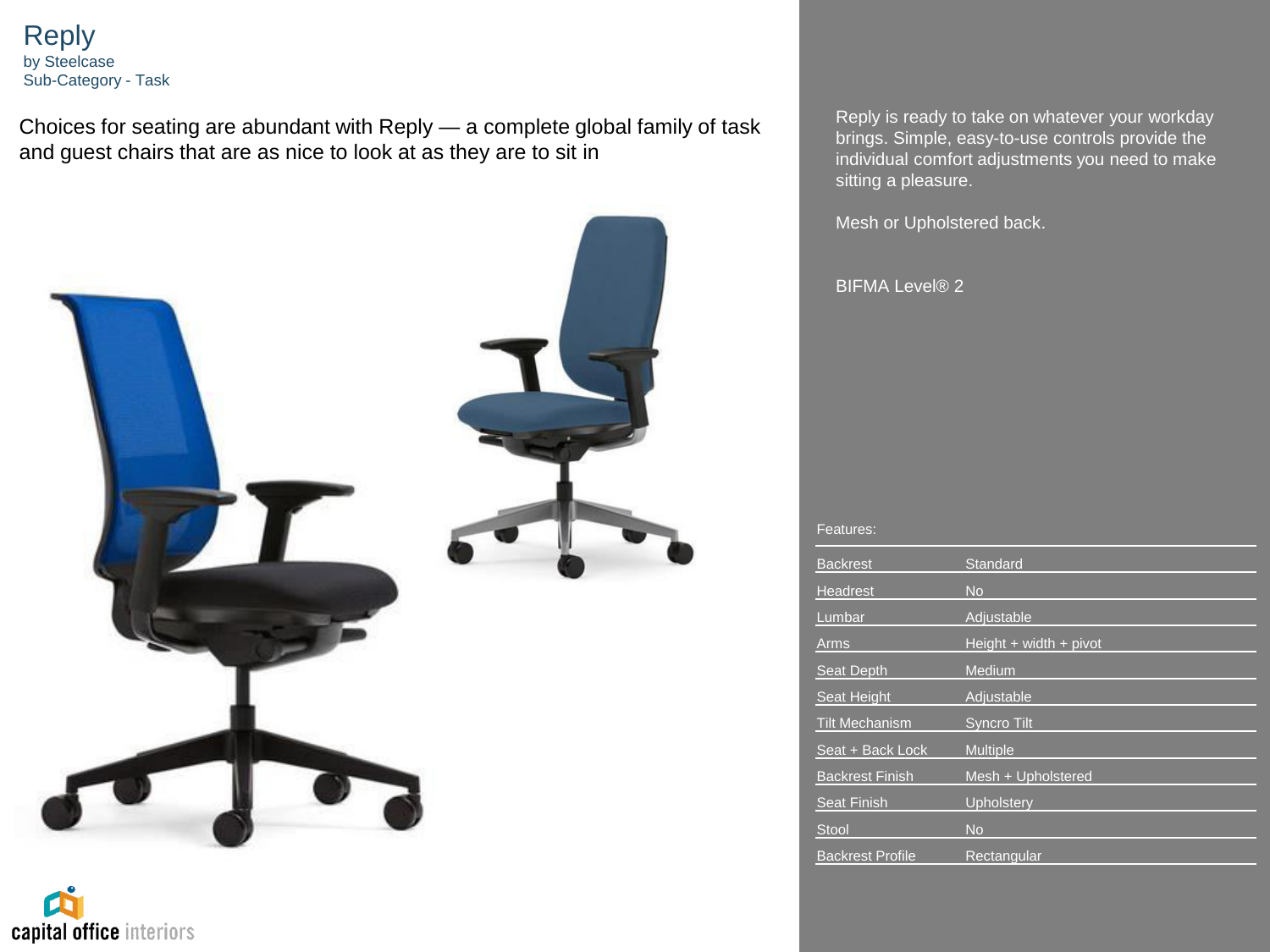Reply by Steelcase Sub-Category - Task

Choices for seating are abundant with Reply — a complete global family of task and guest chairs that are as nice to look at as they are to sit in



capital office interiors

Reply is ready to take on whatever your workday brings. Simple, easy-to-use controls provide the individual comfort adjustments you need to make sitting a pleasure.

Mesh or Upholstered back.

BIFMA Level® 2

| <b>Backrest</b>         | Standard                   |
|-------------------------|----------------------------|
| <b>Headrest</b>         | <b>No</b>                  |
| Lumbar                  | Adjustable                 |
| Arms                    | Height $+$ width $+$ pivot |
| Seat Depth              | Medium                     |
| Seat Height             | Adjustable                 |
| <b>Tilt Mechanism</b>   | <b>Syncro Tilt</b>         |
| Seat + Back Lock        | <b>Multiple</b>            |
| <b>Backrest Finish</b>  | Mesh + Upholstered         |
| <b>Seat Finish</b>      | Upholstery                 |
| <b>Stool</b>            | <b>No</b>                  |
| <b>Backrest Profile</b> | Rectangular                |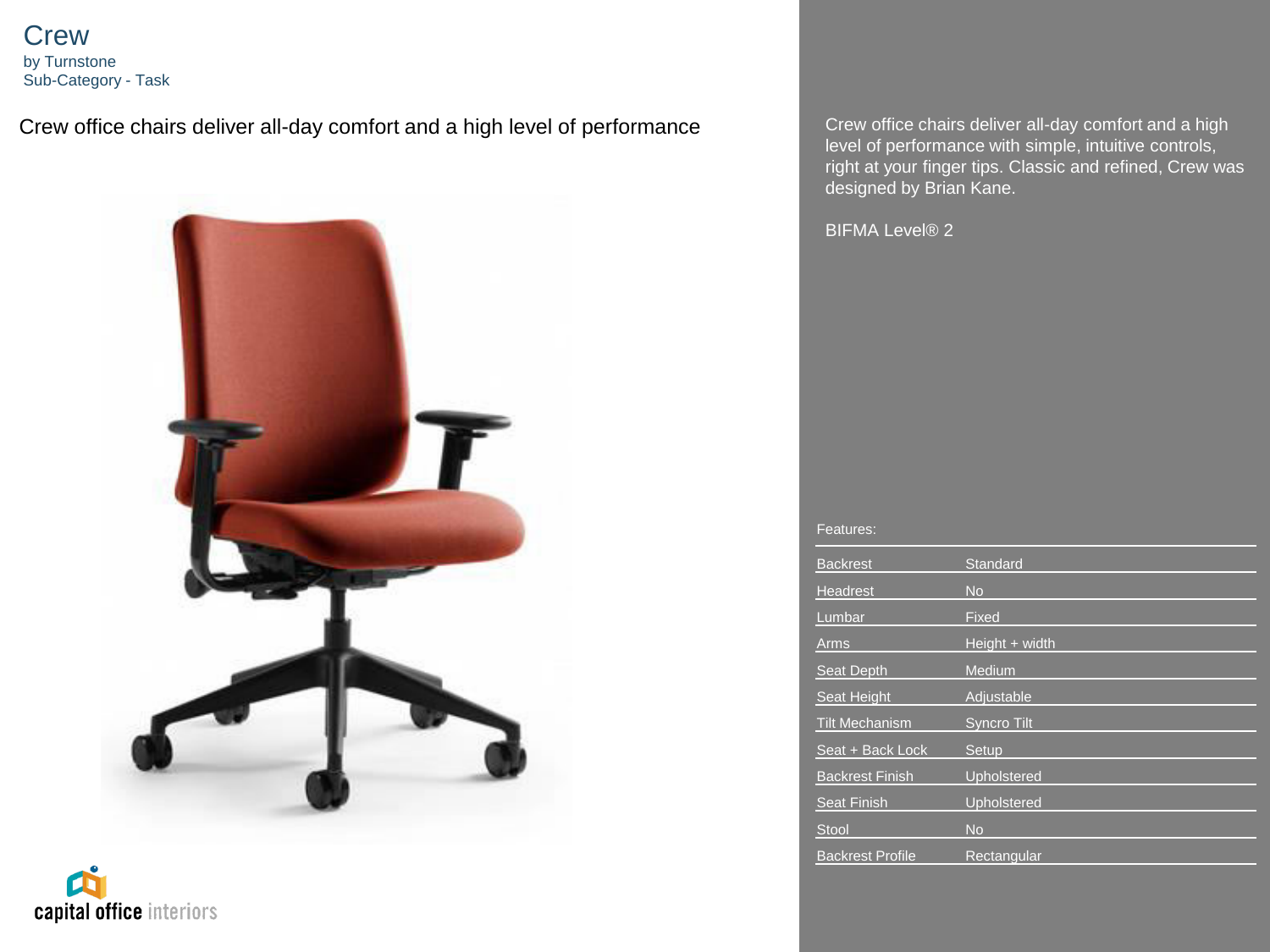**Crew** by Turnstone Sub-Category - Task

Crew office chairs deliver all-day comfort and a high level of performance Crew office chairs deliver all-day comfort and a high



capital office interiors

level of performance with simple, intuitive controls, right at your finger tips. Classic and refined, Crew was designed by Brian Kane.

BIFMA Level® 2

| <b>Backrest</b>         | Standard           |
|-------------------------|--------------------|
| Headrest                | <b>No</b>          |
| Lumbar                  | Fixed              |
| Arms                    | Height + width     |
| Seat Depth              | Medium             |
| Seat Height             | Adjustable         |
| <b>Tilt Mechanism</b>   | <b>Syncro Tilt</b> |
| Seat + Back Lock        | Setup              |
| <b>Backrest Finish</b>  | Upholstered        |
| <b>Seat Finish</b>      | Upholstered        |
| Stool                   | <b>No</b>          |
| <b>Backrest Profile</b> | Rectangular        |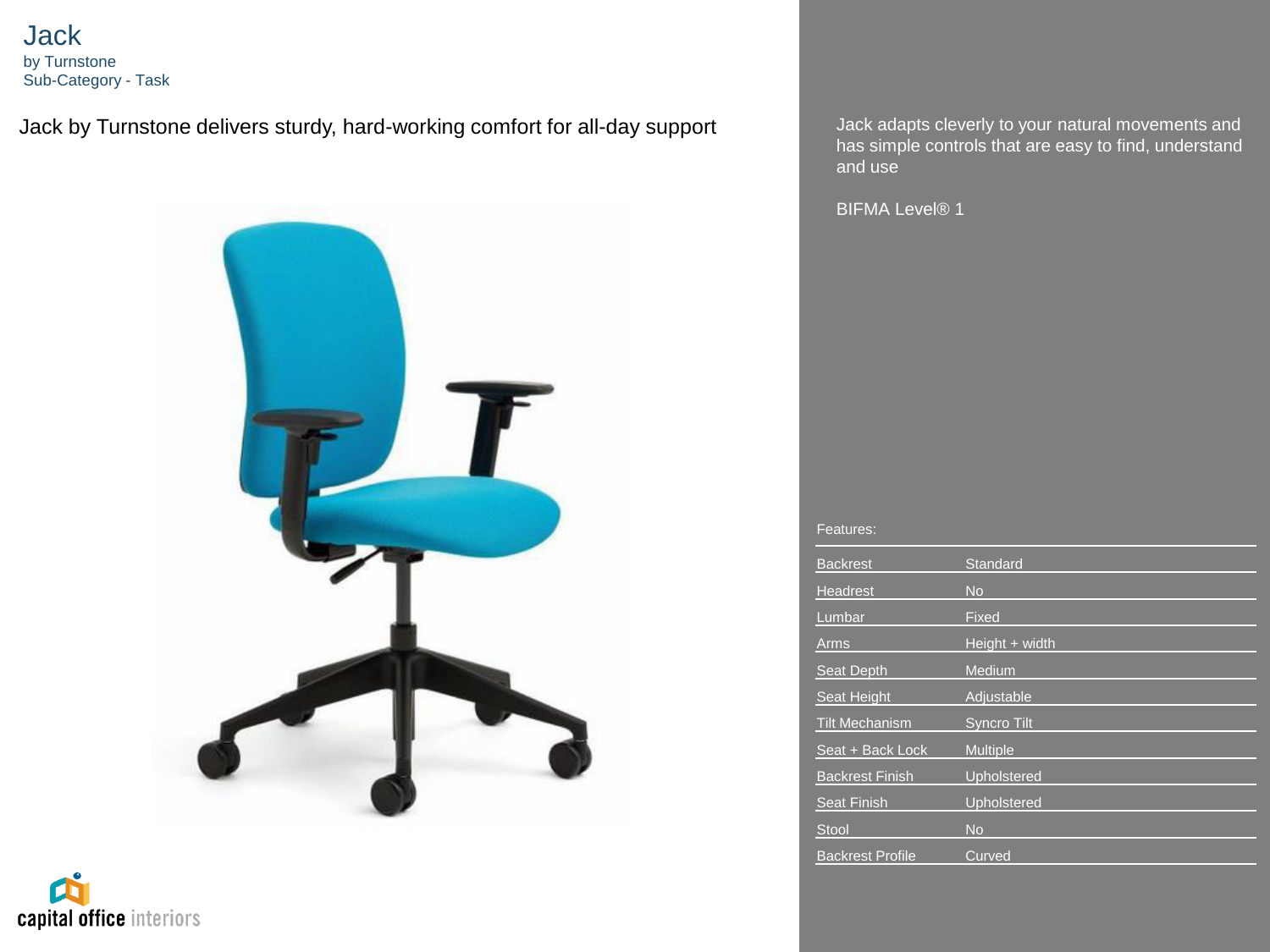**Jack** by Turnstone Sub-Category - Task

Jack by Turnstone delivers sturdy, hard-working comfort for all-day support Jack adapts cleverly to your natural movements and



capital office interiors

has simple controls that are easy to find, understand and use

BIFMA Level® 1

| <b>Backrest</b>         | Standard           |
|-------------------------|--------------------|
| Headrest                | <b>No</b>          |
| Lumbar                  | Fixed              |
| <b>Arms</b>             | Height + width     |
| Seat Depth              | Medium             |
| Seat Height             | Adjustable         |
| <b>Tilt Mechanism</b>   | <b>Syncro Tilt</b> |
| Seat + Back Lock        | <b>Multiple</b>    |
| <b>Backrest Finish</b>  | Upholstered        |
| <b>Seat Finish</b>      | Upholstered        |
| <b>Stool</b>            | <b>No</b>          |
| <b>Backrest Profile</b> | Curved             |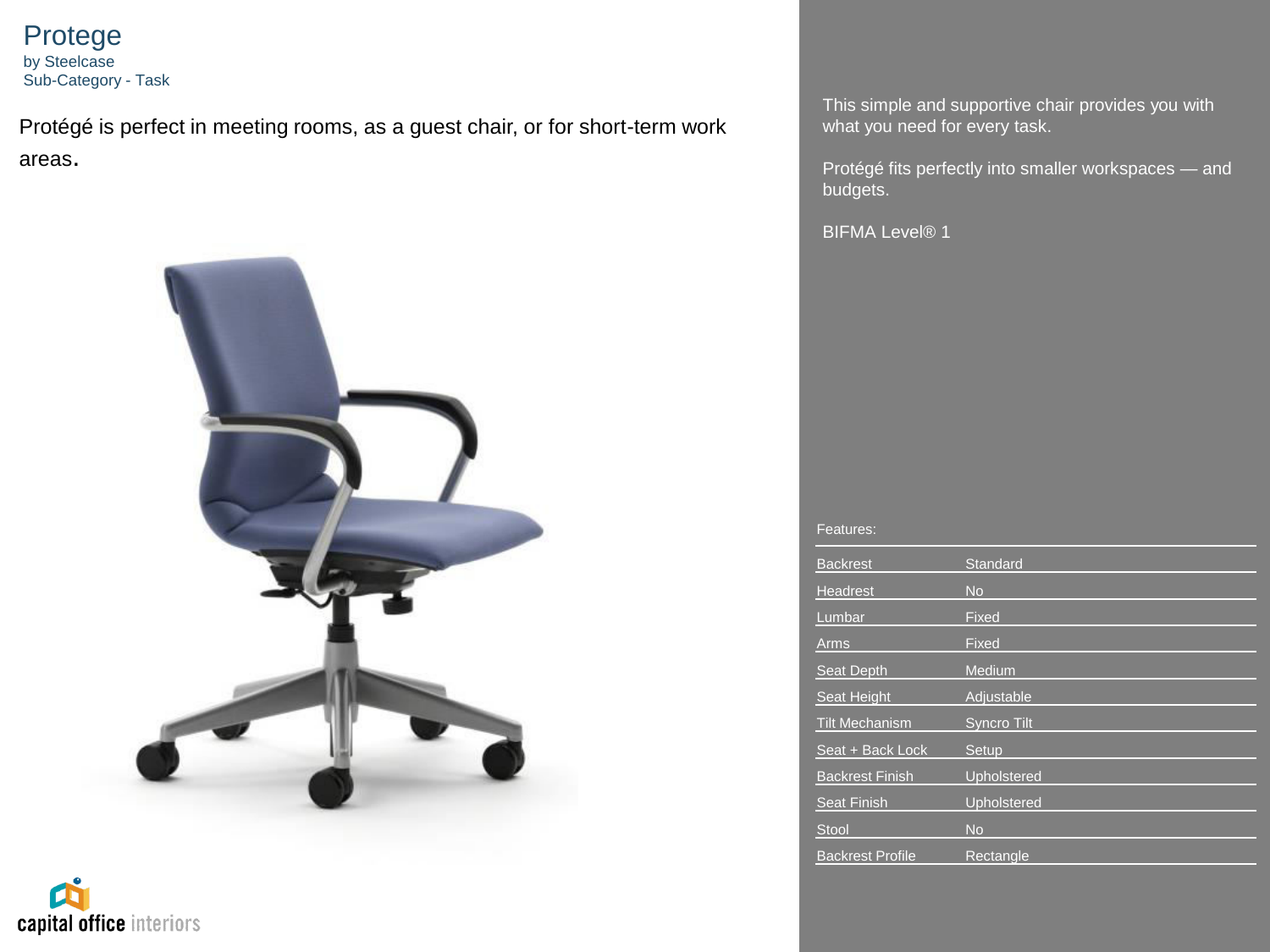Protege by Steelcase Sub-Category - Task

Protégé is perfect in meeting rooms, as a guest chair, or for short-term work areas.





This simple and supportive chair provides you with what you need for every task.

Protégé fits perfectly into smaller workspaces — and budgets.

BIFMA Level® 1

| <b>Backrest</b>         | <b>Standard</b> |
|-------------------------|-----------------|
| Headrest                | <b>No</b>       |
| Lumbar                  | Fixed           |
| Arms                    | Fixed           |
| Seat Depth              | Medium          |
| Seat Height             | Adjustable      |
| <b>Tilt Mechanism</b>   | Syncro Tilt     |
| Seat + Back Lock        | Setup           |
| <b>Backrest Finish</b>  | Upholstered     |
| <b>Seat Finish</b>      | Upholstered     |
| <b>Stool</b>            | <b>No</b>       |
| <b>Backrest Profile</b> | Rectangle       |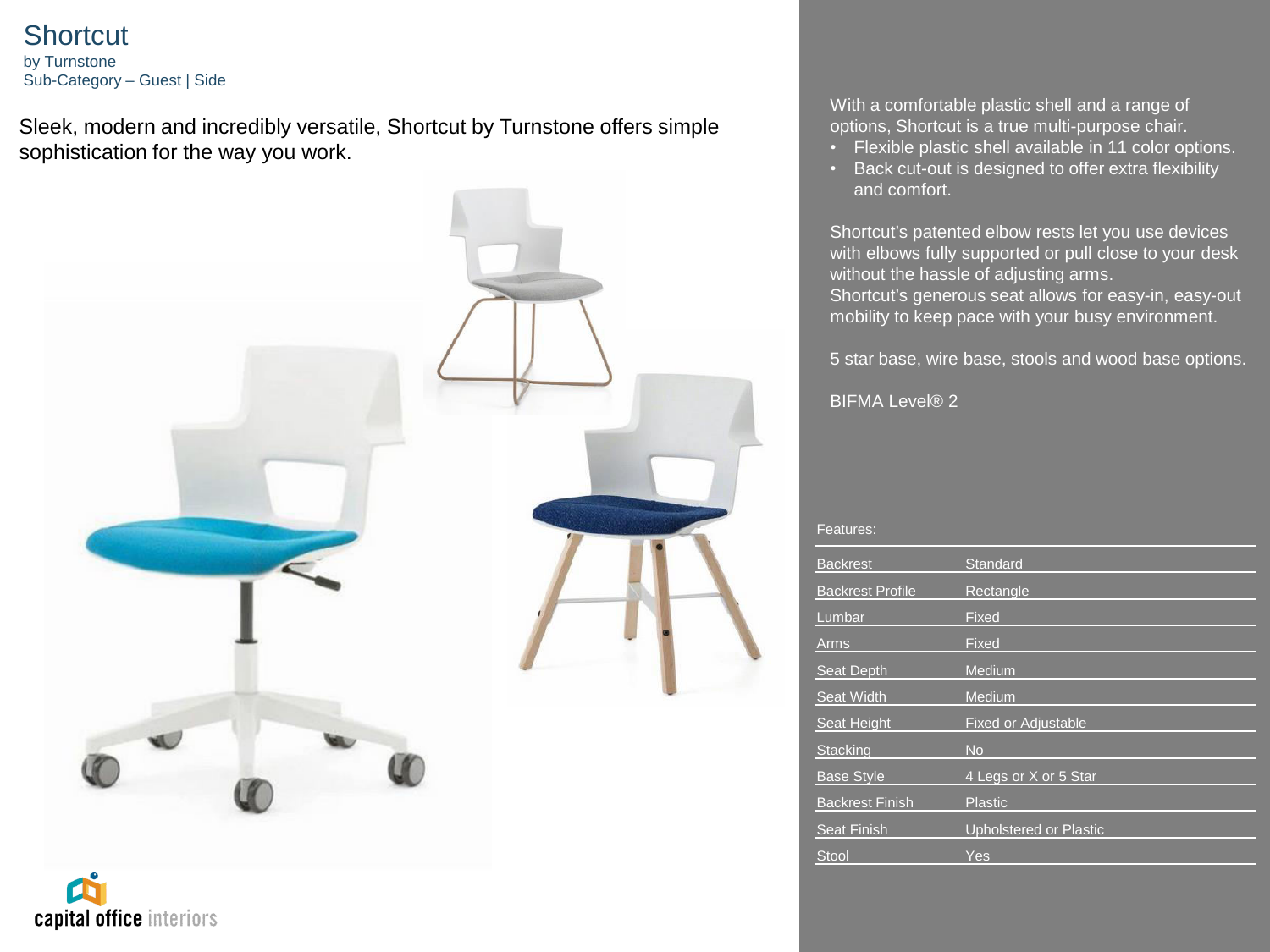# **Shortcut**

by Turnstone Sub-Category – Guest | Side

Sleek, modern and incredibly versatile, Shortcut by Turnstone offers simple sophistication for the way you work.



With a comfortable plastic shell and a range of options, Shortcut is a true multi-purpose chair.

- Flexible plastic shell available in 11 color options.
- Back cut-out is designed to offer extra flexibility and comfort.

Shortcut's patented elbow rests let you use devices with elbows fully supported or pull close to your desk without the hassle of adjusting arms. Shortcut's generous seat allows for easy-in, easy-out mobility to keep pace with your busy environment.

5 star base, wire base, stools and wood base options.

BIFMA Level® 2

| Features: |  |
|-----------|--|
|           |  |

| <b>Backrest</b>         | Standard                      |
|-------------------------|-------------------------------|
|                         |                               |
| <b>Backrest Profile</b> | Rectangle                     |
| Lumbar                  | Fixed                         |
| Arms                    | Fixed                         |
| Seat Depth              | Medium                        |
| Seat Width              | Medium                        |
| Seat Height             | <b>Fixed or Adjustable</b>    |
| <b>Stacking</b>         | <b>No</b>                     |
| <b>Base Style</b>       | 4 Legs or X or 5 Star         |
| <b>Backrest Finish</b>  | <b>Plastic</b>                |
| <b>Seat Finish</b>      | <b>Upholstered or Plastic</b> |
| <b>Stool</b>            | Yes                           |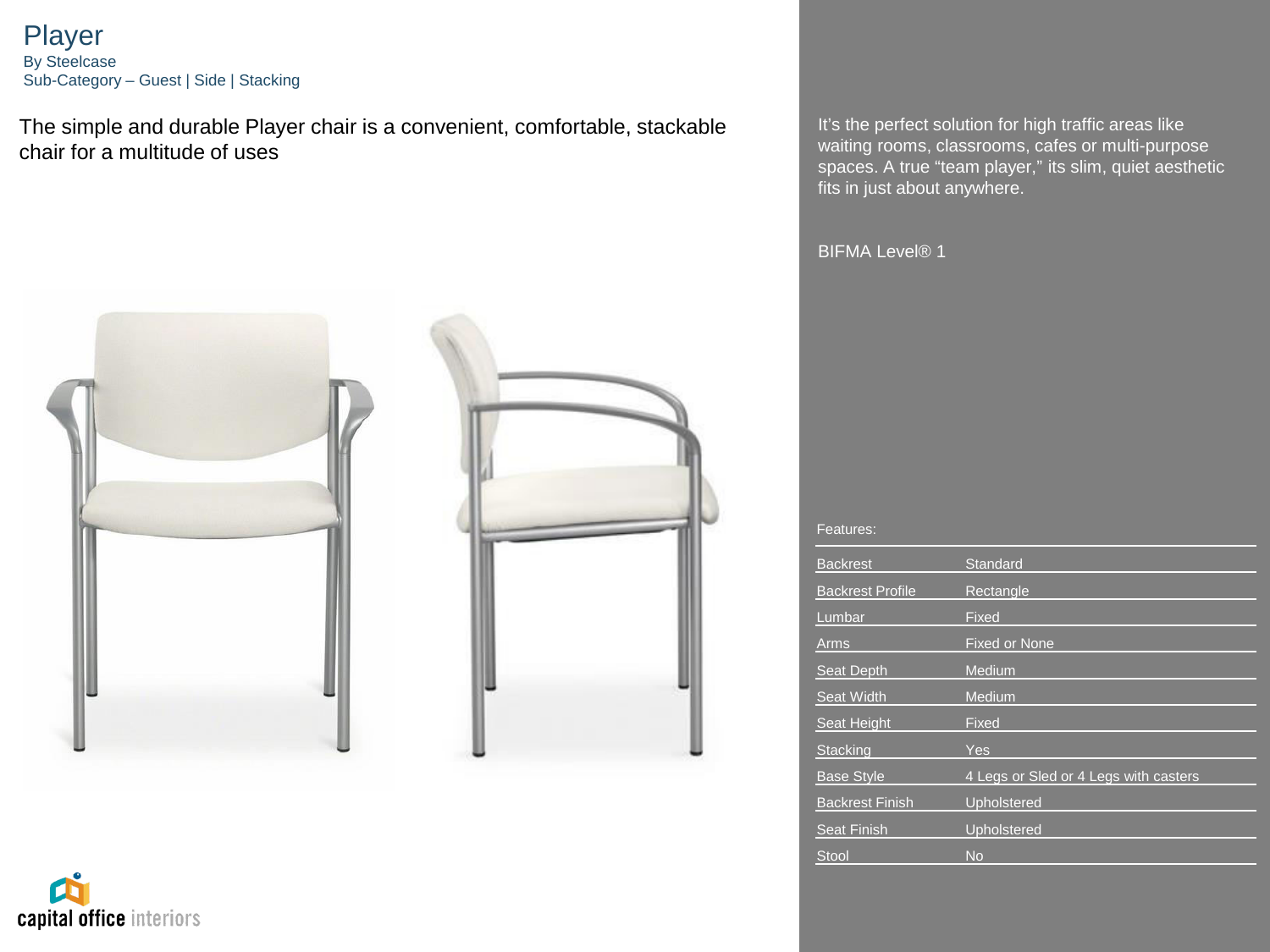# Player By Steelcase Sub-Category – Guest | Side | Stacking

The simple and durable Player chair is a convenient, comfortable, stackable chair for a multitude of uses





It's the perfect solution for high traffic areas like waiting rooms, classrooms, cafes or multi-purpose spaces. A true "team player," its slim, quiet aesthetic fits in just about anywhere.

BIFMA Level<sup>®</sup> 1

| <b>Backrest</b>         | Standard                              |
|-------------------------|---------------------------------------|
| <b>Backrest Profile</b> | Rectangle                             |
| Lumbar                  | Fixed                                 |
| Arms                    | <b>Fixed or None</b>                  |
| Seat Depth              | <b>Medium</b>                         |
| <b>Seat Width</b>       | <b>Medium</b>                         |
| Seat Height             | Fixed                                 |
| <b>Stacking</b>         | Yes                                   |
| <b>Base Style</b>       | 4 Legs or Sled or 4 Legs with casters |
| <b>Backrest Finish</b>  | Upholstered                           |
| <b>Seat Finish</b>      | Upholstered                           |
| <b>Stool</b>            | <b>No</b>                             |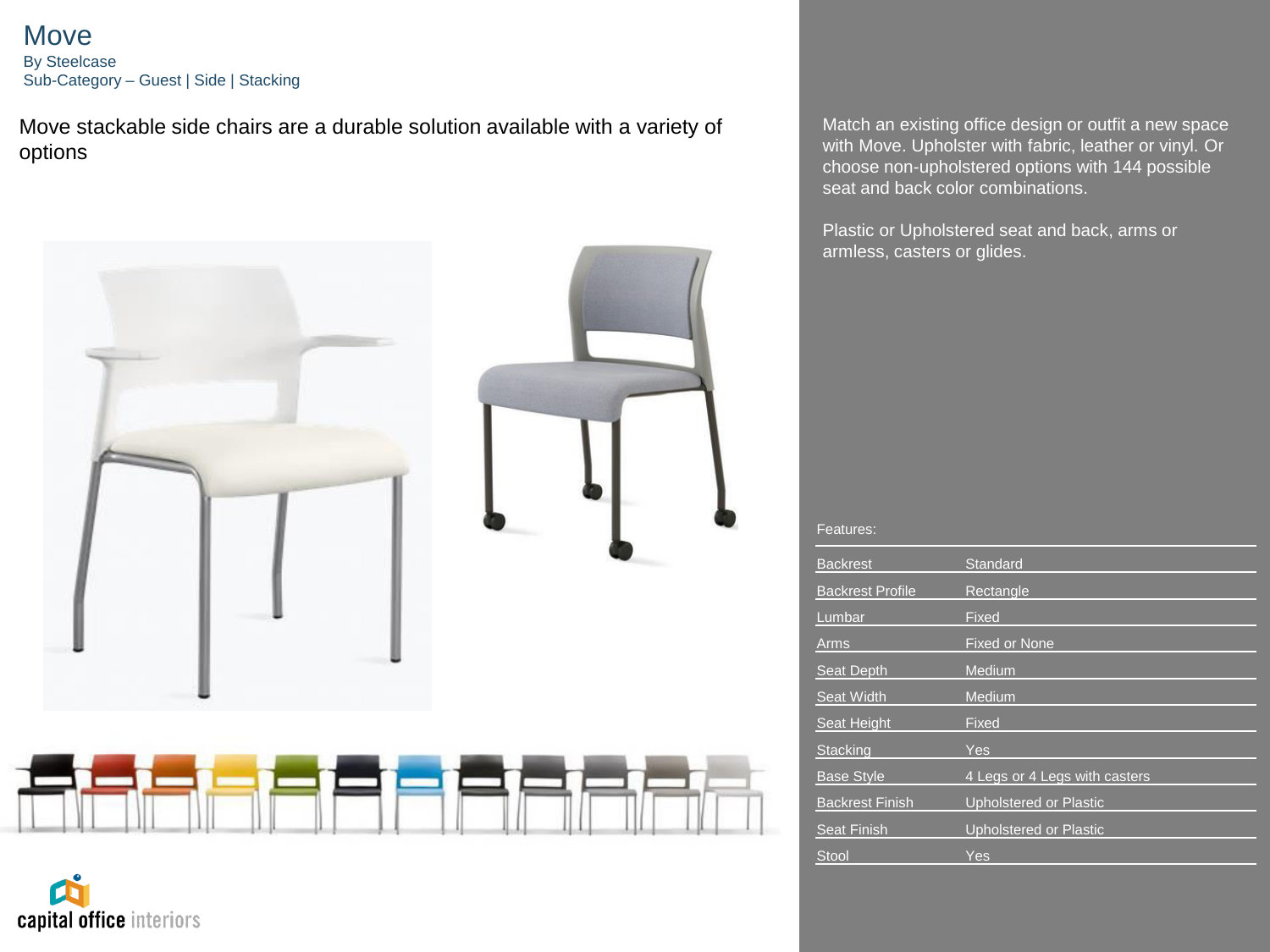Move By Steelcase Sub-Category – Guest | Side | Stacking

Move stackable side chairs are a durable solution available with a variety of options



capital office interiors

Match an existing office design or outfit a new space with Move. Upholster with fabric, leather or vinyl. Or choose non-upholstered options with 144 possible seat and back color combinations.

Plastic or Upholstered seat and back, arms or armless, casters or glides.

| <b>Backrest</b>         | Standard                      |
|-------------------------|-------------------------------|
| <b>Backrest Profile</b> | Rectangle                     |
| Lumbar                  | Fixed                         |
| Arms                    | <b>Fixed or None</b>          |
| <b>Seat Depth</b>       | Medium                        |
| <b>Seat Width</b>       | Medium                        |
| <b>Seat Height</b>      | Fixed                         |
| <b>Stacking</b>         | Yes                           |
| <b>Base Style</b>       | 4 Legs or 4 Legs with casters |
| <b>Backrest Finish</b>  | <b>Upholstered or Plastic</b> |
| <b>Seat Finish</b>      | <b>Upholstered or Plastic</b> |
| Stool                   | Yes                           |